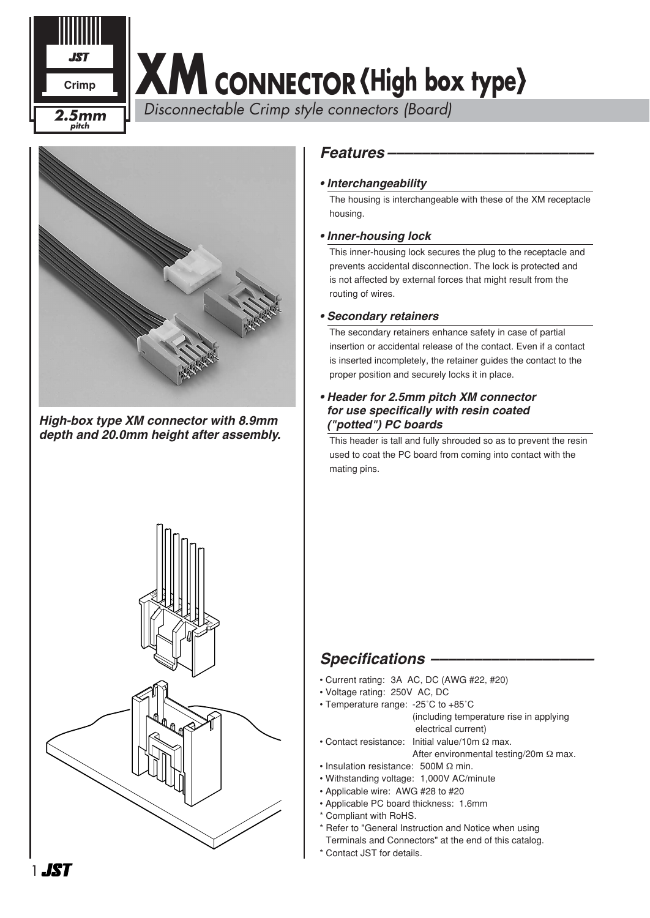# **Crimp XM** CONNECTOR (High box type)

 *Disconnectable Crimp style connectors (Board) 2.5mm*



2.5mm

**JC7** 

*High-box type XM connector with 8.9mm depth and 20.0mm height after assembly.*



### *Features ––––––––––––––––––––––––*

### *• Interchangeability*

The housing is interchangeable with these of the XM receptacle housing.

### *• Inner-housing lock*

This inner-housing lock secures the plug to the receptacle and prevents accidental disconnection. The lock is protected and is not affected by external forces that might result from the routing of wires.

#### *• Secondary retainers*

The secondary retainers enhance safety in case of partial insertion or accidental release of the contact. Even if a contact is inserted incompletely, the retainer guides the contact to the proper position and securely locks it in place.

#### *• Header for 2.5mm pitch XM connector for use specifically with resin coated ("potted") PC boards*

This header is tall and fully shrouded so as to prevent the resin used to coat the PC board from coming into contact with the mating pins.

## *Specifications –––––––––––––––––––*

- Current rating: 3A AC, DC (AWG #22, #20)
- Voltage rating: 250V AC, DC
- Temperature range: -25˚C to +85˚C (including temperature rise in applying electrical current)
- Contact resistance: Initial value/10m Ω max.
	- After environmental testing/20m Ω max.
- Insulation resistance: 500M Ω min.
- Withstanding voltage: 1,000V AC/minute
- Applicable wire: AWG #28 to #20
- Applicable PC board thickness: 1.6mm
- \* Compliant with RoHS.
- \* Refer to "General Instruction and Notice when using
- Terminals and Connectors" at the end of this catalog.
- \* Contact JST for details.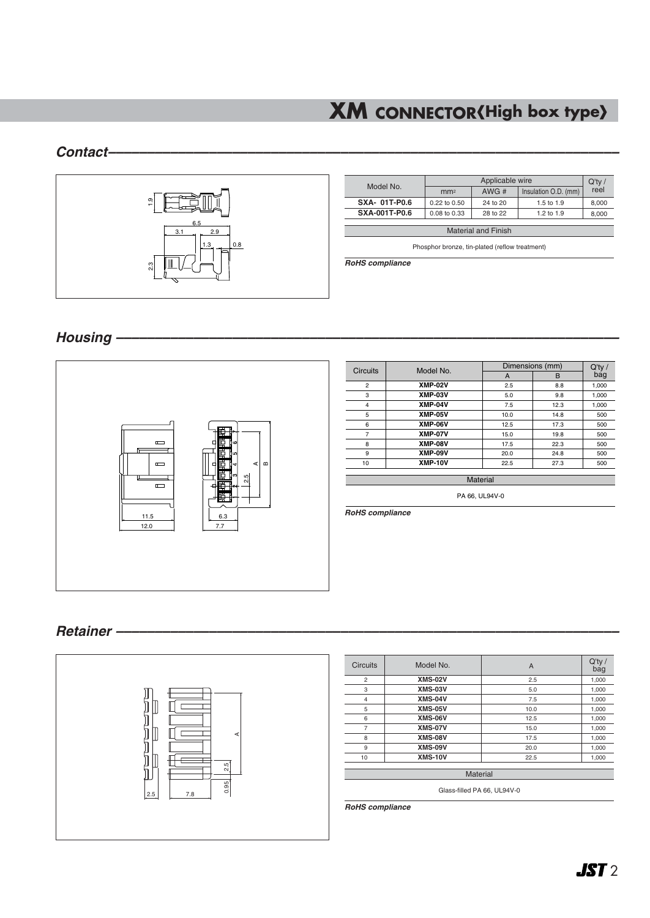# **XM CONNECTOR** (High box type)

### *Contact––––––––––––––––––––––––––––––––––––––––––––––––––––––––––––––––––*



| Model No.                  |                 | $Q'$ ty / |                      |       |  |  |  |  |  |
|----------------------------|-----------------|-----------|----------------------|-------|--|--|--|--|--|
|                            | mm <sup>2</sup> | AWG#      | Insulation O.D. (mm) | reel  |  |  |  |  |  |
| <b>SXA-01T-P0.6</b>        | 0.22 to 0.50    | 24 to 20  | 1.5 to 1.9           | 8.000 |  |  |  |  |  |
| <b>SXA-001T-P0.6</b>       | 0.08 to 0.33    | 28 to 22  | 1.2 to 1.9           | 8.000 |  |  |  |  |  |
|                            |                 |           |                      |       |  |  |  |  |  |
| <b>Material and Finish</b> |                 |           |                      |       |  |  |  |  |  |

Phosphor bronze, tin-plated (reflow treatment)

*RoHS compliance*

*Housing –––––––––––––––––––––––––––––––––––––––––––––––––––––––––––––––––*



| <b>Circuits</b> | Model No.      |      | Dimensions (mm) |                  |
|-----------------|----------------|------|-----------------|------------------|
|                 |                | A    | B               | $Q'$ ty /<br>bag |
| $\overline{2}$  | <b>XMP-02V</b> | 2.5  | 8.8             | 1,000            |
| 3               | XMP-03V        | 5.0  | 9.8             | 1,000            |
| 4               | XMP-04V        | 7.5  | 12.3            | 1,000            |
| 5               | XMP-05V        | 10.0 | 14.8            | 500              |
| 6               | XMP-06V        | 12.5 | 17.3            | 500              |
| 7               | <b>XMP-07V</b> | 15.0 | 19.8            | 500              |
| 8               | <b>XMP-08V</b> | 17.5 | 22.3            | 500              |
| 9               | XMP-09V        | 20.0 | 24.8            | 500              |
| 10              | <b>XMP-10V</b> | 22.5 | 27.3            | 500              |

PA 66, UL94V-0

*RoHS compliance*

### *Retainer –––––––––––––––––––––––––––––––––––––––––––––––––––––––––––––––––*



**Material** Q'ty / bag 1,000 1,000 1,000 1,000 1,000 1,000 1,000 1,000 1,000 A 2.5 5.0 7.5 10.0 12.5 15.0 17.5 20.0 22.5

Glass-filled PA 66, UL94V-0